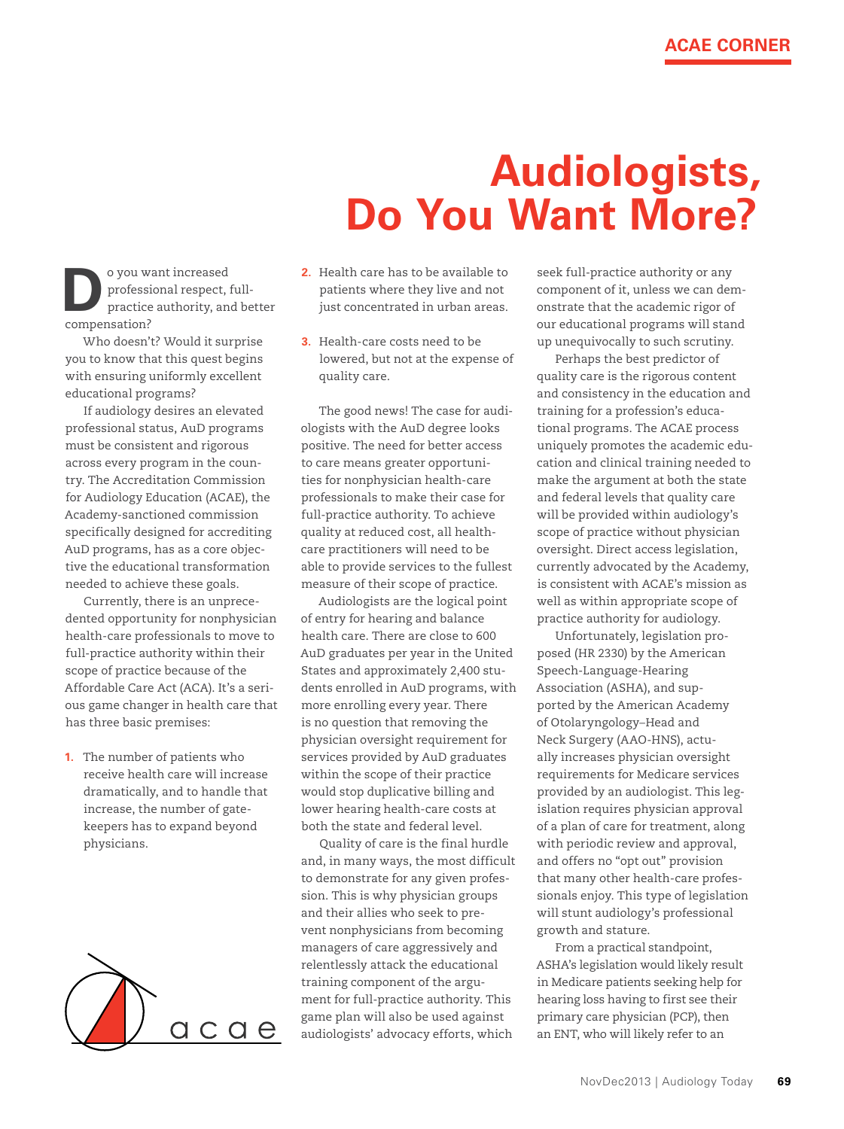## **Audiologists, Do You Want More?**

o you want increased<br>
professional respect, the practice authority, and<br> **Respectively and the properties** professional respect, fullpractice authority, and better compensation?

Who doesn't? Would it surprise you to know that this quest begins with ensuring uniformly excellent educational programs?

If audiology desires an elevated professional status, AuD programs must be consistent and rigorous across every program in the country. The Accreditation Commission for Audiology Education (ACAE), the Academy-sanctioned commission specifically designed for accrediting AuD programs, has as a core objective the educational transformation needed to achieve these goals.

Currently, there is an unprecedented opportunity for nonphysician health-care professionals to move to full-practice authority within their scope of practice because of the Affordable Care Act (ACA). It's a serious game changer in health care that has three basic premises:

**1.** The number of patients who receive health care will increase dramatically, and to handle that increase, the number of gatekeepers has to expand beyond physicians.



- **2.** Health care has to be available to patients where they live and not just concentrated in urban areas.
- **3.** Health-care costs need to be lowered, but not at the expense of quality care.

The good news! The case for audiologists with the AuD degree looks positive. The need for better access to care means greater opportunities for nonphysician health-care professionals to make their case for full-practice authority. To achieve quality at reduced cost, all healthcare practitioners will need to be able to provide services to the fullest measure of their scope of practice.

Audiologists are the logical point of entry for hearing and balance health care. There are close to 600 AuD graduates per year in the United States and approximately 2,400 students enrolled in AuD programs, with more enrolling every year. There is no question that removing the physician oversight requirement for services provided by AuD graduates within the scope of their practice would stop duplicative billing and lower hearing health-care costs at both the state and federal level.

Quality of care is the final hurdle and, in many ways, the most difficult to demonstrate for any given profession. This is why physician groups and their allies who seek to prevent nonphysicians from becoming managers of care aggressively and relentlessly attack the educational training component of the argument for full-practice authority. This game plan will also be used against audiologists' advocacy efforts, which

seek full-practice authority or any component of it, unless we can demonstrate that the academic rigor of our educational programs will stand up unequivocally to such scrutiny.

Perhaps the best predictor of quality care is the rigorous content and consistency in the education and training for a profession's educational programs. The ACAE process uniquely promotes the academic education and clinical training needed to make the argument at both the state and federal levels that quality care will be provided within audiology's scope of practice without physician oversight. Direct access legislation, currently advocated by the Academy, is consistent with ACAE's mission as well as within appropriate scope of practice authority for audiology.

Unfortunately, legislation proposed (HR 2330) by the American Speech-Language-Hearing Association (ASHA), and supported by the American Academy of Otolaryngology–Head and Neck Surgery (AAO-HNS), actually increases physician oversight requirements for Medicare services provided by an audiologist. This legislation requires physician approval of a plan of care for treatment, along with periodic review and approval, and offers no "opt out" provision that many other health-care professionals enjoy. This type of legislation will stunt audiology's professional growth and stature.

From a practical standpoint, ASHA's legislation would likely result in Medicare patients seeking help for hearing loss having to first see their primary care physician (PCP), then an ENT, who will likely refer to an